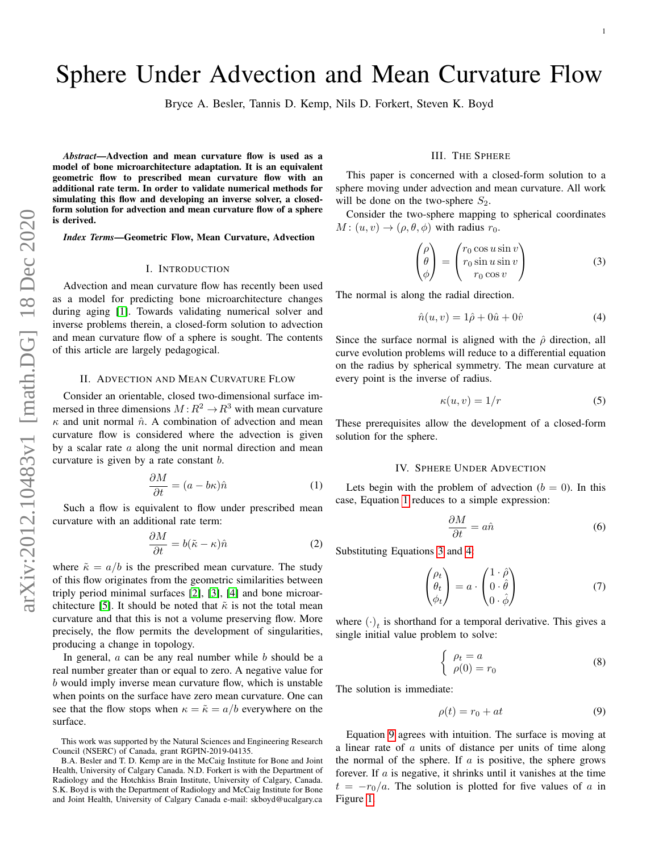# Sphere Under Advection and Mean Curvature Flow

Bryce A. Besler, Tannis D. Kemp, Nils D. Forkert, Steven K. Boyd

*Abstract*—Advection and mean curvature flow is used as a model of bone microarchitecture adaptation. It is an equivalent geometric flow to prescribed mean curvature flow with an additional rate term. In order to validate numerical methods for simulating this flow and developing an inverse solver, a closedform solution for advection and mean curvature flow of a sphere is derived.

*Index Terms*—Geometric Flow, Mean Curvature, Advection

#### I. INTRODUCTION

Advection and mean curvature flow has recently been used as a model for predicting bone microarchitecture changes during aging [\[1\]](#page-4-0). Towards validating numerical solver and inverse problems therein, a closed-form solution to advection and mean curvature flow of a sphere is sought. The contents of this article are largely pedagogical.

#### II. ADVECTION AND MEAN CURVATURE FLOW

Consider an orientable, closed two-dimensional surface immersed in three dimensions  $M: \mathbb{R}^2 \to \mathbb{R}^3$  with mean curvature  $\kappa$  and unit normal  $\hat{n}$ . A combination of advection and mean curvature flow is considered where the advection is given by a scalar rate  $a$  along the unit normal direction and mean curvature is given by a rate constant b.

<span id="page-0-0"></span>
$$
\frac{\partial M}{\partial t} = (a - b\kappa)\hat{n} \tag{1}
$$

Such a flow is equivalent to flow under prescribed mean curvature with an additional rate term:

Manazarta

$$
\frac{\partial M}{\partial t} = b(\tilde{\kappa} - \kappa)\hat{n} \tag{2}
$$

where  $\tilde{\kappa} = a/b$  is the prescribed mean curvature. The study of this flow originates from the geometric similarities between triply period minimal surfaces [\[2\]](#page-4-1), [\[3\]](#page-4-2), [\[4\]](#page-4-3) and bone microar-chitecture [\[5\]](#page-4-4). It should be noted that  $\tilde{\kappa}$  is not the total mean curvature and that this is not a volume preserving flow. More precisely, the flow permits the development of singularities, producing a change in topology.

In general,  $a$  can be any real number while  $b$  should be a real number greater than or equal to zero. A negative value for b would imply inverse mean curvature flow, which is unstable when points on the surface have zero mean curvature. One can see that the flow stops when  $\kappa = \tilde{\kappa} = a/b$  everywhere on the surface.

#### III. THE SPHERE

This paper is concerned with a closed-form solution to a sphere moving under advection and mean curvature. All work will be done on the two-sphere  $S_2$ .

Consider the two-sphere mapping to spherical coordinates  $M: (u, v) \rightarrow (\rho, \theta, \phi)$  with radius  $r_0$ .

<span id="page-0-1"></span>
$$
\begin{pmatrix}\n\rho \\
\theta \\
\phi\n\end{pmatrix} = \begin{pmatrix}\nr_0 \cos u \sin v \\
r_0 \sin u \sin v \\
r_0 \cos v\n\end{pmatrix}
$$
\n(3)

The normal is along the radial direction.

<span id="page-0-2"></span>
$$
\hat{n}(u,v) = 1\hat{\rho} + 0\hat{u} + 0\hat{v} \tag{4}
$$

Since the surface normal is aligned with the  $\hat{\rho}$  direction, all curve evolution problems will reduce to a differential equation on the radius by spherical symmetry. The mean curvature at every point is the inverse of radius.

<span id="page-0-4"></span>
$$
\kappa(u,v) = 1/r \tag{5}
$$

These prerequisites allow the development of a closed-form solution for the sphere.

#### IV. SPHERE UNDER ADVECTION

<span id="page-0-5"></span>Lets begin with the problem of advection  $(b = 0)$ . In this case, Equation [1](#page-0-0) reduces to a simple expression:

$$
\frac{\partial M}{\partial t} = a\hat{n} \tag{6}
$$

Substituting Equations [3](#page-0-1) and [4:](#page-0-2)

$$
\begin{pmatrix} \rho_t \\ \theta_t \\ \phi_t \end{pmatrix} = a \cdot \begin{pmatrix} 1 \cdot \hat{\rho} \\ 0 \cdot \hat{\theta} \\ 0 \cdot \hat{\phi} \end{pmatrix}
$$
 (7)

where  $(\cdot)_t$  is shorthand for a temporal derivative. This gives a single initial value problem to solve:

$$
\begin{cases}\n\rho_t = a \\
\rho(0) = r_0\n\end{cases}
$$
\n(8)

The solution is immediate:

<span id="page-0-3"></span>
$$
\rho(t) = r_0 + at \tag{9}
$$

Equation [9](#page-0-3) agrees with intuition. The surface is moving at a linear rate of a units of distance per units of time along the normal of the sphere. If  $\alpha$  is positive, the sphere grows forever. If  $a$  is negative, it shrinks until it vanishes at the time  $t = -r_0/a$ . The solution is plotted for five values of a in Figure [1.](#page-1-0)

This work was supported by the Natural Sciences and Engineering Research Council (NSERC) of Canada, grant RGPIN-2019-04135.

B.A. Besler and T. D. Kemp are in the McCaig Institute for Bone and Joint Health, University of Calgary Canada. N.D. Forkert is with the Department of Radiology and the Hotchkiss Brain Institute, University of Calgary, Canada. S.K. Boyd is with the Department of Radiology and McCaig Institute for Bone and Joint Health, University of Calgary Canada e-mail: skboyd@ucalgary.ca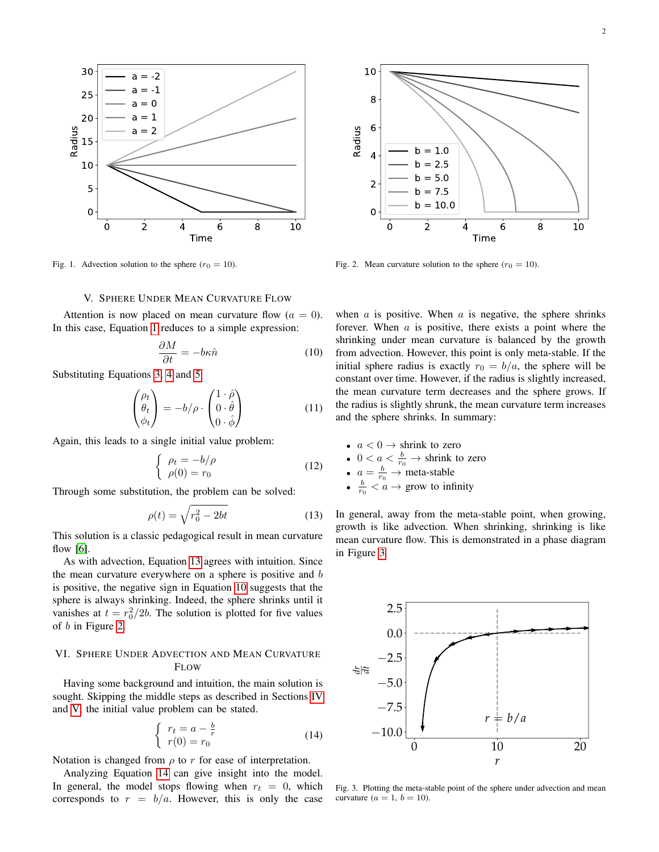

<span id="page-1-0"></span>Fig. 1. Advection solution to the sphere  $(r_0 = 10)$ .

#### V. SPHERE UNDER MEAN CURVATURE FLOW

<span id="page-1-4"></span>Attention is now placed on mean curvature flow  $(a = 0)$ . In this case, Equation [1](#page-0-0) reduces to a simple expression:

<span id="page-1-2"></span>
$$
\frac{\partial M}{\partial t} = -b\kappa \hat{n} \tag{10}
$$

Substituting Equations [3,](#page-0-1) [4](#page-0-2) and [5:](#page-0-4)

$$
\begin{pmatrix} \rho_t \\ \theta_t \\ \phi_t \end{pmatrix} = -b/\rho \cdot \begin{pmatrix} 1 \cdot \hat{\rho} \\ 0 \cdot \hat{\theta} \\ 0 \cdot \hat{\phi} \end{pmatrix}
$$
 (11)

Again, this leads to a single initial value problem:

$$
\begin{cases}\n\rho_t = -b/\rho \\
\rho(0) = r_0\n\end{cases}
$$
\n(12)

Through some substitution, the problem can be solved:

<span id="page-1-1"></span>
$$
\rho(t) = \sqrt{r_0^2 - 2bt} \tag{13}
$$

This solution is a classic pedagogical result in mean curvature flow [\[6\]](#page-4-5).

As with advection, Equation [13](#page-1-1) agrees with intuition. Since the mean curvature everywhere on a sphere is positive and b is positive, the negative sign in Equation [10](#page-1-2) suggests that the sphere is always shrinking. Indeed, the sphere shrinks until it vanishes at  $t = r_0^2/2b$ . The solution is plotted for five values of b in Figure [2.](#page-1-3)

### VI. SPHERE UNDER ADVECTION AND MEAN CURVATURE FLOW

Having some background and intuition, the main solution is sought. Skipping the middle steps as described in Sections [IV](#page-0-5) and [V,](#page-1-4) the initial value problem can be stated.

<span id="page-1-5"></span>
$$
\begin{cases}\nr_t = a - \frac{b}{r} \\
r(0) = r_0\n\end{cases}
$$
\n(14)

Notation is changed from  $\rho$  to r for ease of interpretation.

Analyzing Equation [14](#page-1-5) can give insight into the model. In general, the model stops flowing when  $r_t = 0$ , which corresponds to  $r = b/a$ . However, this is only the case



<span id="page-1-3"></span>Fig. 2. Mean curvature solution to the sphere  $(r_0 = 10)$ .

when  $\alpha$  is positive. When  $\alpha$  is negative, the sphere shrinks forever. When  $a$  is positive, there exists a point where the shrinking under mean curvature is balanced by the growth from advection. However, this point is only meta-stable. If the initial sphere radius is exactly  $r_0 = b/a$ , the sphere will be constant over time. However, if the radius is slightly increased, the mean curvature term decreases and the sphere grows. If the radius is slightly shrunk, the mean curvature term increases and the sphere shrinks. In summary:

- $a < 0 \rightarrow$  shrink to zero
- $0 < a < \frac{b}{r_0}$   $\rightarrow$  shrink to zero
- $a = \frac{b}{r_0} \rightarrow \text{meta-stable}$
- $\frac{b}{r_0}$  <  $\alpha \rightarrow$  grow to infinity

In general, away from the meta-stable point, when growing, growth is like advection. When shrinking, shrinking is like mean curvature flow. This is demonstrated in a phase diagram in Figure [3.](#page-1-6)



<span id="page-1-6"></span>Fig. 3. Plotting the meta-stable point of the sphere under advection and mean curvature ( $a = 1$ ,  $b = 10$ ).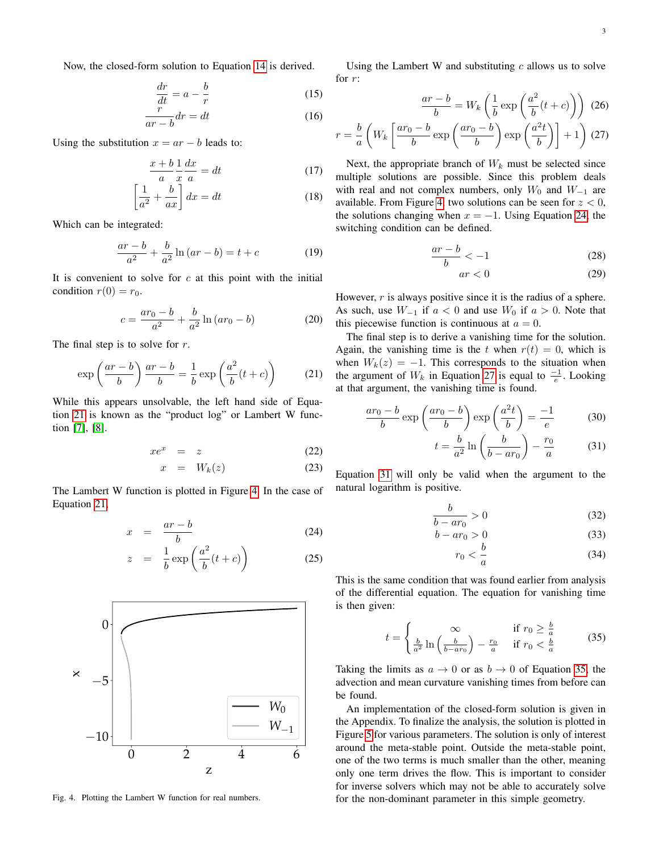Now, the closed-form solution to Equation [14](#page-1-5) is derived.

$$
\frac{dr}{dt} = a - \frac{b}{r} \tag{15}
$$

$$
\frac{\ddot{r}}{ar - b}dr = dt \tag{16}
$$

Using the substitution  $x = ar - b$  leads to:

$$
\frac{x+b}{a}\frac{1}{x}\frac{dx}{a} = dt
$$
 (17)

$$
\left[\frac{1}{a^2} + \frac{b}{ax}\right]dx = dt
$$
 (18)

Which can be integrated:

$$
\frac{ar - b}{a^2} + \frac{b}{a^2} \ln(ar - b) = t + c \tag{19}
$$

It is convenient to solve for  $c$  at this point with the initial condition  $r(0) = r_0$ .

$$
c = \frac{ar_0 - b}{a^2} + \frac{b}{a^2} \ln (ar_0 - b)
$$
 (20)

The final step is to solve for  $r$ .

<span id="page-2-0"></span>
$$
\exp\left(\frac{ar-b}{b}\right)\frac{ar-b}{b} = \frac{1}{b}\exp\left(\frac{a^2}{b}(t+c)\right) \tag{21}
$$

While this appears unsolvable, the left hand side of Equation [21](#page-2-0) is known as the "product log" or Lambert W function [\[7\]](#page-4-6), [\[8\]](#page-4-7).

$$
xe^x = z \tag{22}
$$

$$
x = W_k(z) \tag{23}
$$

The Lambert W function is plotted in Figure [4.](#page-2-1) In the case of Equation [21,](#page-2-0)

<span id="page-2-2"></span>
$$
x = \frac{ar - b}{b} \tag{24}
$$

$$
z = \frac{1}{b} \exp\left(\frac{a^2}{b}(t+c)\right) \tag{25}
$$



<span id="page-2-1"></span>Fig. 4. Plotting the Lambert W function for real numbers.

Using the Lambert W and substituting  $c$  allows us to solve for r:

<span id="page-2-3"></span>
$$
\frac{ar - b}{b} = W_k \left( \frac{1}{b} \exp\left( \frac{a^2}{b} (t + c) \right) \right) (26)
$$

$$
r = \frac{b}{a} \left( W_k \left[ \frac{ar_0 - b}{b} \exp\left( \frac{ar_0 - b}{b} \right) \exp\left( \frac{a^2 t}{b} \right) \right] + 1 \right) (27)
$$

Next, the appropriate branch of  $W_k$  must be selected since multiple solutions are possible. Since this problem deals with real and not complex numbers, only  $W_0$  and  $W_{-1}$  are available. From Figure [4,](#page-2-1) two solutions can be seen for  $z < 0$ , the solutions changing when  $x = -1$ . Using Equation [24,](#page-2-2) the switching condition can be defined.

$$
\frac{ar-b}{b} < -1 \tag{28}
$$

$$
ar < 0 \tag{29}
$$

However,  $r$  is always positive since it is the radius of a sphere. As such, use  $W_{-1}$  if  $a < 0$  and use  $W_0$  if  $a > 0$ . Note that this piecewise function is continuous at  $a = 0$ .

The final step is to derive a vanishing time for the solution. Again, the vanishing time is the t when  $r(t) = 0$ , which is when  $W_k(z) = -1$ . This corresponds to the situation when the argument of  $W_k$  in Equation [27](#page-2-3) is equal to  $\frac{-1}{e}$ . Looking at that argument, the vanishing time is found.

<span id="page-2-4"></span>
$$
\frac{ar_0 - b}{b} \exp\left(\frac{ar_0 - b}{b}\right) \exp\left(\frac{a^2t}{b}\right) = \frac{-1}{e}
$$
 (30)

$$
t = \frac{b}{a^2} \ln\left(\frac{b}{b - ar_0}\right) - \frac{r_0}{a} \tag{31}
$$

Equation [31](#page-2-4) will only be valid when the argument to the natural logarithm is positive.

$$
\frac{b}{b - ar_0} > 0\tag{32}
$$

$$
b - ar_0 > 0
$$
\n
$$
b \tag{33}
$$

$$
r_0 < \frac{0}{a} \tag{34}
$$

This is the same condition that was found earlier from analysis of the differential equation. The equation for vanishing time is then given:

<span id="page-2-5"></span>
$$
t = \begin{cases} \infty & \text{if } r_0 \ge \frac{b}{a} \\ \frac{b}{a^2} \ln \left( \frac{b}{b - a r_0} \right) - \frac{r_0}{a} & \text{if } r_0 < \frac{b}{a} \end{cases} \tag{35}
$$

Taking the limits as  $a \to 0$  or as  $b \to 0$  of Equation [35,](#page-2-5) the advection and mean curvature vanishing times from before can be found.

An implementation of the closed-form solution is given in the Appendix. To finalize the analysis, the solution is plotted in Figure [5](#page-3-0) for various parameters. The solution is only of interest around the meta-stable point. Outside the meta-stable point, one of the two terms is much smaller than the other, meaning only one term drives the flow. This is important to consider for inverse solvers which may not be able to accurately solve for the non-dominant parameter in this simple geometry.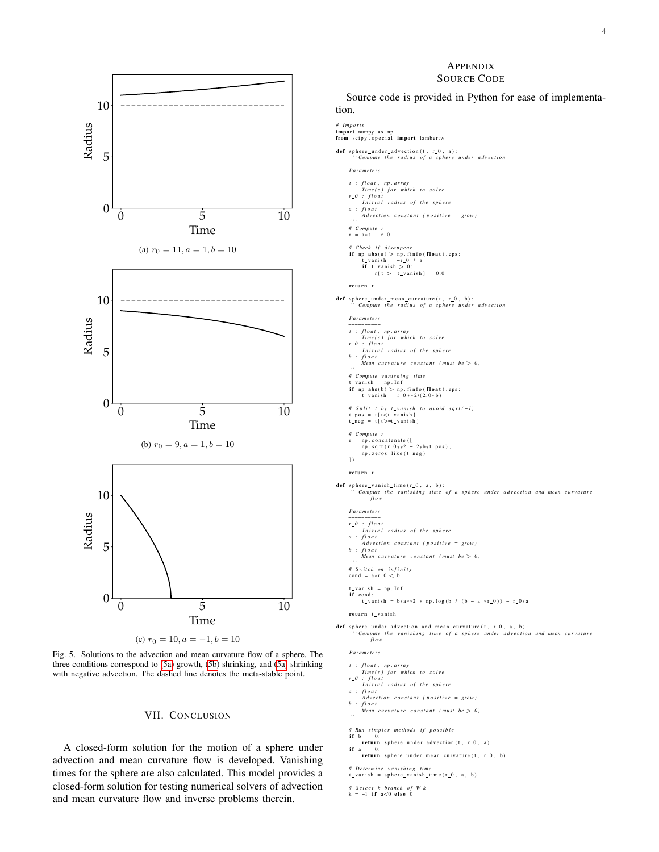<span id="page-3-1"></span>

<span id="page-3-2"></span>

<span id="page-3-0"></span>Fig. 5. Solutions to the advection and mean curvature flow of a sphere. The three conditions correspond to [\(5a\)](#page-3-1) growth, [\(5b\)](#page-3-2) shrinking, and [\(5a\)](#page-3-1) shrinking with negative advection. The dashed line denotes the meta-stable point.

#### VII. CONCLUSION

A closed-form solution for the motion of a sphere under advection and mean curvature flow is developed. Vanishing times for the sphere are also calculated. This model provides a closed-form solution for testing numerical solvers of advection and mean curvature flow and inverse problems therein.

#### APPENDIX SOURCE CODE

Source code is provided in Python for ease of implementation.

## *# I m p o rt s*

import numpy as np<br>from scipy.special import lambertw

#### $\texttt{def}$  sphere\_under\_advection (t, r\_0, a): *'* Compute the radius of a sphere under advection

*P a r a m et e r s*

- 
- *t : f loat, np. array*<br> *Time ( s ) for which to solve*<br> *r*\_0 *: f loat*<br> *Initial radius of the sphere*
- *a : f l o a t*
- *A d v e c t i o n c o n s t a n t ( p o s i t i v e = grow )*
- *' ' ' # Compute r*
- $r = a*t + r \ 0$
- *# Check i f d i s a p p e a r* if  $np \cdot abs(a) > np \cdot finfo(fload) \cdot ops:$ <br>  $t\_vanish = -r\_0 / a$ <br>
if  $t\_vanish > 0:$ <br>  $r[t > = t\_vanish] = 0.0$
- return r

- $def$  sphere\_under\_mean\_curvature( $t, r_0, b$ ): *' Compute the radius of a sphere under advection* 
	- *P a r a m et e r s*
	-
	- *t : float, np. array*<br> *Time ( s ) for which to solve*
	-
	- *r*\_0 : float<br>Initial radius of the sphere<br>b : float *float*<br>*Mean curvature constant (must be*  $> 0$ )
	-
	- *' ' ' # Compute v a n i s h i n g ti m e*
	-
	- $t_v$ vanish = np. Inf<br> **if** np. **abs**(b) > np. finfo(**float**). eps:<br>  $t_v$ vanish =  $r_v$ 0 \* \* 2/(2.0 \* b)

*# Split t by t\_vanish to avoid sqrt(-1)*<br>t\_pos = t[t<t\_vanish]<br>t\_neg = t[t>=t\_vanish]

- 
- *# Compute r*
- $r = np$ . concatenate ([<br>np. sqrt ( $r_0**2 2*b*t_pos$ ),
- np. zeros\_like (t\_neg)  $\overline{)}$
- return 1
- 
- def sphere\_vanish\_time(r\_0, a, b):<br>'''Compute the vanishing time of a sphere under advection and mean curvature *fl o w*
	- *P a r a m et e r s*
	-
	- *-*−−−−−−−−−−−−<br> *r*\_0 : float<br> *Initial radius of the sphere*
	- *a : f l o a t A d v e c t i o n c o n s t a n t ( p o s i t i v e = grow )*
	-
	- *b : f l o a t Mean c u r v a t u r e c o n s t a n t ( m u st be* > *0 )*
	- *' ' ' # S wit c h on i n f i n i t y*
	- $\text{cond} = \text{a} * \text{r} \_0 < \text{b}$
- t\_vanish = np.Inf<br>**if** cond:
	- t vanish = b/a \*\* 2 \* np . l og (b / (b a \* r 0)) r 0/a

#### return t\_vanish

def sphere\_under\_advection\_and\_mean\_curvature(t, r\_0, a, b):<br>''Compute the vanishing time of a sphere under advection and mean curvature<br>flow

*P a r a m et e r s*

- 
- *t : f loat, np. array*<br> *Time ( s ) for which to solve*<br> *r*\_0 *: f loat*<br> *Initial radius of the sphere*
- 
- *a : f l o a t*
- *.<br>A d vection constant (positive = grow)*
- *b : f l o a t Mean c u r v a t u r e c o n s t a n t ( m u st be* > *0 )*

*# Run simpler methods if possible*<br>**if**  $b == 0$ :

if  $b == 0$ :<br>
return sphere\_under\_advection(t, r\_0, a)<br>
if  $a == 0$ :

- $return$  sphere\_under\_mean\_curvature(t,  $r_0$ , b)
- 

*# D et ermine vanishing time*<br>t\_vanish = sphere\_vanish\_time(r\_0, a, b)